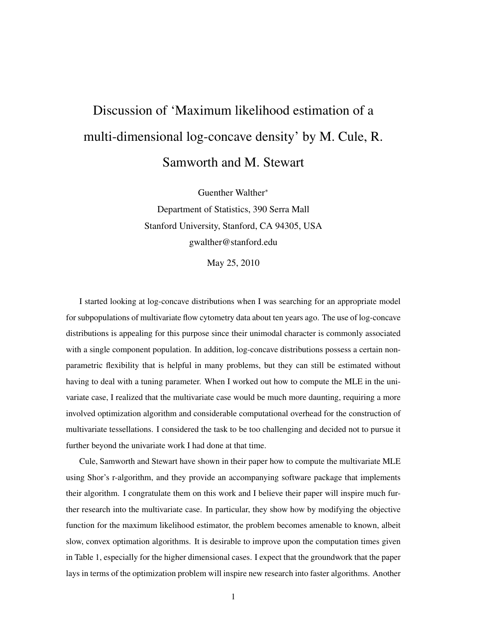## Discussion of 'Maximum likelihood estimation of a multi-dimensional log-concave density' by M. Cule, R. Samworth and M. Stewart

Guenther Walther<sup>∗</sup> Department of Statistics, 390 Serra Mall Stanford University, Stanford, CA 94305, USA gwalther@stanford.edu

May 25, 2010

I started looking at log-concave distributions when I was searching for an appropriate model for subpopulations of multivariate flow cytometry data about ten years ago. The use of log-concave distributions is appealing for this purpose since their unimodal character is commonly associated with a single component population. In addition, log-concave distributions possess a certain nonparametric flexibility that is helpful in many problems, but they can still be estimated without having to deal with a tuning parameter. When I worked out how to compute the MLE in the univariate case, I realized that the multivariate case would be much more daunting, requiring a more involved optimization algorithm and considerable computational overhead for the construction of multivariate tessellations. I considered the task to be too challenging and decided not to pursue it further beyond the univariate work I had done at that time.

Cule, Samworth and Stewart have shown in their paper how to compute the multivariate MLE using Shor's r-algorithm, and they provide an accompanying software package that implements their algorithm. I congratulate them on this work and I believe their paper will inspire much further research into the multivariate case. In particular, they show how by modifying the objective function for the maximum likelihood estimator, the problem becomes amenable to known, albeit slow, convex optimation algorithms. It is desirable to improve upon the computation times given in Table 1, especially for the higher dimensional cases. I expect that the groundwork that the paper lays in terms of the optimization problem will inspire new research into faster algorithms. Another